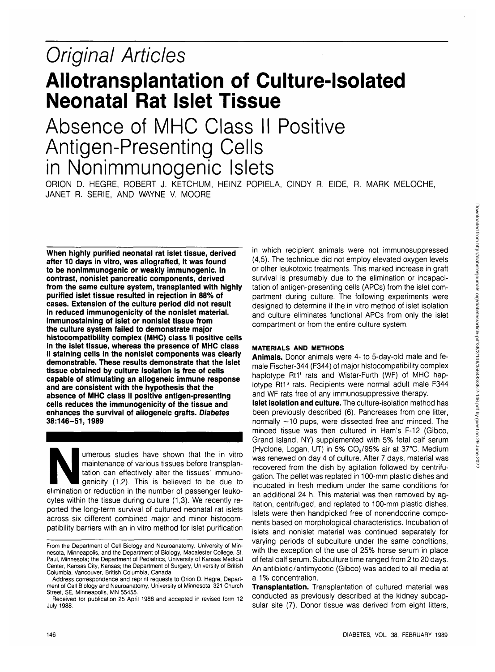# Original Articles **Allotransplantation of Culture-Isolated Neonatal Rat Islet Tissue**

# Absence of MHC Class II Positive Antigen-Presenting Cells in Nonimmunogenic Islets

ORION D. HEGRE, ROBERT J. KETCHUM, HEINZ POPIELA, CINDY R. EIDE, R. MARK MELOCHE, JANET R. SERIE, AND WAYNE V. MOORE

**When highly purified neonatal rat islet tissue, derived after 10 days in vitro, was allografted, it was found to be nonimmunogenic or weakly immunogenic. In contrast, nonislet pancreatic components, derived from the same culture system, transplanted with highly purified islet tissue resulted in rejection in 88% of cases. Extension of the culture period did not result in reduced immunogenicity of the nonislet material. Immunostaining of islet or nonislet tissue from the culture system failed to demonstrate major histocompatibility complex (MHC) class II positive cells in the islet tissue, whereas the presence of MHC class II staining cells in the nonislet components was clearly demonstrable. These results demonstrate that the islet tissue obtained by culture isolation is free of cells capable of stimulating an allogeneic immune response and are consistent with the hypothesis that the absence of MHC class II positive antigen-presenting cells reduces the immunogenicity of the tissue and enhances the survival of allogeneic grafts. Diabetes 38:146-51,1989**

umerous studies have shown that the in vitro<br>
maintenance of various tissues before transplan-<br>
tation can effectively alter the tissues' immuno-<br>
genicity (1,2). This is believed to be due to<br>
elimination or reduction in maintenance of various tissues before transplantation can effectively alter the tissues' immunogenicity (1,2). This is believed to be due to cytes within the tissue during culture (1,3). We recently reported the long-term survival of cultured neonatal rat islets across six different combined major and minor histocompatibility barriers with an in vitro method for islet purification

in which recipient animals were not immunosuppressed (4,5). The technique did not employ elevated oxygen levels or other leukotoxic treatments. This marked increase in graft survival is presumably due to the elimination or incapacitation of antigen-presenting cells (APCs) from the islet compartment during culture. The following experiments were designed to determine if the in vitro method of islet isolation and culture eliminates functional APCs from only the islet compartment or from the entire culture system.

#### **MATERIALS AND METHODS**

**Animals.** Donor animals were 4- to 5-day-old male and female Fischer-344 (F344) of major histocompatibility complex haplotype Rt1' rats and Wistar-Furth (WF) of MHC haplotype Rt1<sup>°</sup> rats. Recipients were normal adult male F344 and WF rats free of any immunosuppressive therapy.

**Islet isolation and culture.** The culture-isolation method has been previously described (6). Pancreases from one litter, normally  $\sim$ 10 pups, were dissected free and minced. The minced tissue was then cultured in Ham's F-12 (Gibco, Grand Island, NY) supplemented with 5% fetal calf serum (Hyclone, Logan, UT) in 5% CO<sub>2</sub>/95% air at 37°C. Medium was renewed on day 4 of culture. After 7 days, material was recovered from the dish by agitation followed by centrifugation. The pellet was replated in 100-mm plastic dishes and incubated in fresh medium under the same conditions for an additional 24 h. This material was then removed by agitation, centrifuged, and replated to 100-mm plastic dishes. Islets were then handpicked free of nonendocrine components based on morphological characteristics. Incubation of islets and nonislet material was continued separately for varying periods of subculture under the same conditions, with the exception of the use of 25% horse serum in place of fetal calf serum. Subculture time ranged from 2 to 20 days. An antibiotic/antimycotic (Gibco) was added to all media at a 1% concentration.

**Transplantation.** Transplantation of cultured material was conducted as previously described at the kidney subcapsular site (7). Donor tissue was derived from eight litters,

From the Department of Cell Biology and Neuroanatomy, University of Minnesota, Minneapolis, and the Department of Biology, Macalester College, St. Paul, Minnesota; the Department of Pediatrics, University of Kansas Medical Center, Kansas City, Kansas; the Department of Surgery, University of British Columbia, Vancouver, British Columbia, Canada.

Address correspondence and reprint requests to Orion D. Hegre, Department of Cell Biology and Neuroanatomy, University of Minnesota, 321 Church Street, SE, Minneapolis, MN 55455.

Received for publication 25 April 1988 and accepted in revised form 12 July 1988.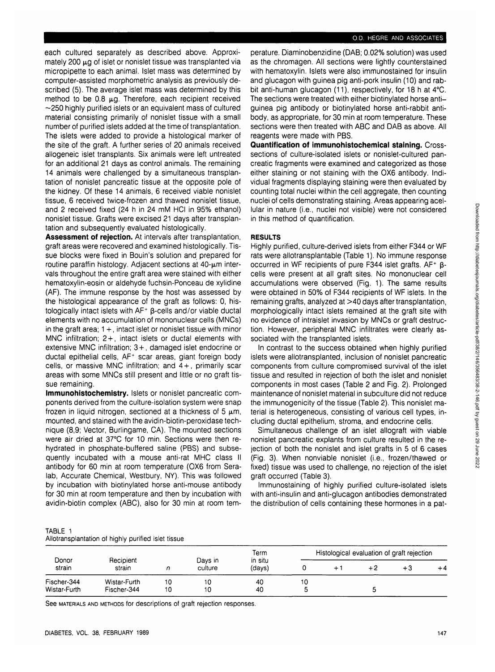O.D. HEGRE AND ASSOCIATES

each cultured separately as described above. Approximately 200  $\mu$ g of islet or nonislet tissue was transplanted via micropipette to each animal. Islet mass was determined by computer-assisted morphometric analysis as previously described (5). The average islet mass was determined by this method to be  $0.8 \mu$ g. Therefore, each recipient received  $\sim$ 250 highly purified islets or an equivalent mass of cultured material consisting primarily of nonislet tissue with a small number of purified islets added at the time of transplantation. The islets were added to provide a histological marker of the site of the graft. A further series of 20 animals received allogeneic islet transplants. Six animals were left untreated for an additional 21 days as control animals. The remaining 14 animals were challenged by a simultaneous transplantation of nonislet pancreatic tissue at the opposite pole of the kidney. Of these 14 animals, 6 received viable nonislet tissue, 6 received twice-frozen and thawed nonislet tissue, and 2 received fixed (24 h in 24 mM HCI in 95% ethanol) nonislet tissue. Grafts were excised 21 days after transplantation and subsequently evaluated histologically.

**Assessment of rejection.** At intervals after transplantation, graft areas were recovered and examined histologically. Tissue blocks were fixed in Bouin's solution and prepared for routine paraffin histology. Adjacent sections at 40-um intervals throughout the entire graft area were stained with either hematoxylin-eosin or aldehyde fuchsin-Ponceau de xylidine (AF). The immune response by the host was assessed by the histological appearance of the graft as follows: 0, histologically intact islets with  $AF+ B\text{-cells}$  and/or viable ductal elements with no accumulation of mononuclear cells (MNCs) in the graft area;  $1 +$ , intact islet or nonislet tissue with minor MNC infiltration;  $2 +$ , intact islets or ductal elements with extensive MNC infiltration; 3 + , damaged islet endocrine or ductal epithelial cells, AF<sup>+</sup> scar areas, giant foreign body cells, or massive MNC infiltration; and  $\overline{4}$  +, primarily scar areas with some MNCs still present and little or no graft tissue remaining.

**Immunohistochemistry.** Islets or nonislet pancreatic components derived from the culture-isolation system were snap frozen in liquid nitrogen, sectioned at a thickness of 5  $\mu$ m, mounted, and stained with the avidin-biotin-peroxidase technique (8,9; Vector, Burlingame, CA). The mounted sections were air dried at 37°C for 10 min. Sections were then rehydrated in phosphate-buffered saline (PBS) and subsequently incubated with a mouse anti-rat MHC class II antibody for 60 min at room temperature (OX6 from Seralab, Accurate Chemical, Westbury, NY). This was followed by incubation with biotinylated horse anti-mouse antibody for 30 min at room temperature and then by incubation with avidin-biotin complex (ABC), also for 30 min at room tem-

perature. Diaminobenzidine (DAB; 0.02% solution) was used as the chromagen. All sections were lightly counterstained with hematoxylin. Islets were also immunostained for insulin and glucagon with guinea pig anti-pork insulin (10) and rabbit anti-human glucagon (11), respectively, for 18 h at 4°C. The sections were treated with either biotinylated horse antiguinea pig antibody or biotinylated horse anti-rabbit antibody, as appropriate, for 30 min at room temperature. These sections were then treated with ABC and DAB as above. All reagents were made with PBS.

**Quantification of immunohistochemical staining.** Crosssections of culture-isolated islets or nonislet-cultured pancreatic fragments were examined and categorized as those either staining or not staining with the OX6 antibody. Individual fragments displaying staining were then evaluated by counting total nuclei within the cell aggregate, then counting nuclei of cells demonstrating staining. Areas appearing acellular in nature (i.e., nuclei not visible) were not considered in this method of quantification.

## **RESULTS**

Highly purified, culture-derived islets from either F344 or WF rats were allotransplantable (Table 1). No immune response occurred in WF recipients of pure F344 islet grafts.  $AF + \beta$ cells were present at all graft sites. No mononuclear cell accumulations were observed (Fig. 1). The same results were obtained in 50% of F344 recipients of WF islets. In the remaining grafts, analyzed at >40 days after transplantation, morphologically intact islets remained at the graft site with no evidence of intraislet invasion by MNCs or graft destruction. However, peripheral MNC infiltrates were clearly associated with the transplanted islets.

In contrast to the success obtained when highly purified islets were allotransplanted, inclusion of nonislet pancreatic components from culture compromised survival of the islet tissue and resulted in rejection of both the islet and nonislet components in most cases (Table 2 and Fig. 2). Prolonged maintenance of nonislet material in subculture did not reduce the immunogenicity of the tissue (Table 2). This nonislet material is heterogeneous, consisting of various cell types, including ductal epithelium, stroma, and endocrine cells.

Simultaneous challenge of an islet allograft with viable nonislet pancreatic explants from culture resulted in the rejection of both the nonislet and islet grafts in 5 of 6 cases (Fig. 3). When nonviable nonislet (i.e., frozen/thawed or fixed) tissue was used to challenge, no rejection of the islet graft occurred (Table 3).

Immunostaining of highly purified culture-isolated islets with anti-insulin and anti-glucagon antibodies demonstrated the distribution of cells containing these hormones in a pat-

| TABLE 1                                             |  |  |
|-----------------------------------------------------|--|--|
| Allotransplantation of highly purified islet tissue |  |  |

| Donor<br>Recipient<br>strain |                             |          | Davs in<br>culture | Term<br>in situ<br>(days) | Histological evaluation of graft rejection |                              |    |    |      |  |  |
|------------------------------|-----------------------------|----------|--------------------|---------------------------|--------------------------------------------|------------------------------|----|----|------|--|--|
|                              | strain                      |          |                    |                           |                                            | $+$ $\overline{\phantom{a}}$ | +2 | +3 | $+4$ |  |  |
| Fischer-344<br>Wistar-Furth  | Wistar-Furth<br>Fischer-344 | 10<br>10 | ١0<br>10           | 40<br>40                  | 10                                         |                              |    |    |      |  |  |

See MATERIALS AND METHODS for descriptions of graft rejection responses.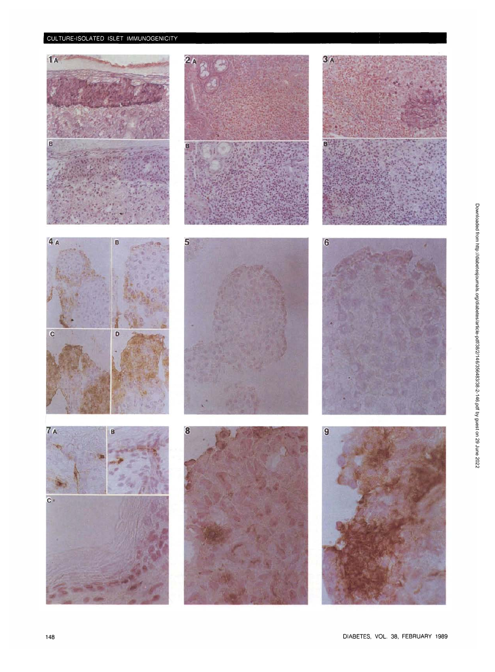## CULTURE-ISOLATED ISLET IMMUNOGENICITY

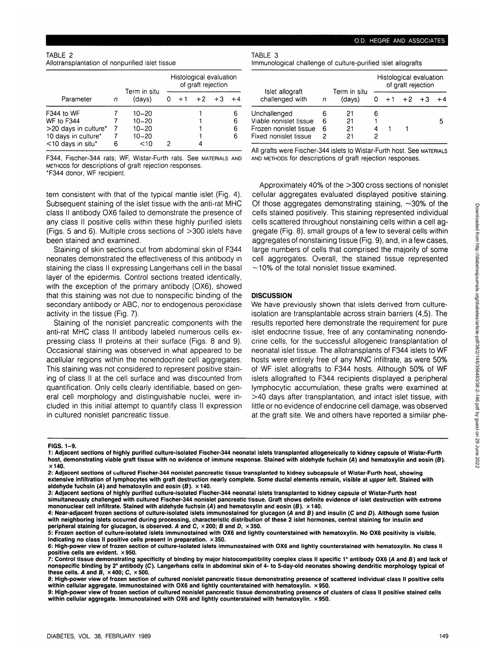# TABLE 2 Allotransplantation of nonpurified islet tissue

|                      |   |                        | Histological evaluation<br>of graft rejection |  |              |  |      |
|----------------------|---|------------------------|-----------------------------------------------|--|--------------|--|------|
| Parameter            | n | Term in situ<br>(davs) |                                               |  | $0 +1 +2 +3$ |  | $+4$ |
| $F344$ to WF         |   | $10 - 20$              |                                               |  |              |  |      |
| WF to F344           |   | $10 - 20$              |                                               |  |              |  | 6    |
| >20 days in culture* |   | $10 - 20$              |                                               |  |              |  | 6    |
| 10 days in culture*  |   | $10 - 20$              |                                               |  |              |  |      |
| <10 days in situ*    | 6 | $<$ 10                 |                                               |  |              |  |      |

F344, Fischer-344 rats; WF, Wistar-Furth rats. See MATERIALS AND METHODS for descriptions of graft rejection responses. \*F344 donor, WF recipient.

tern consistent with that of the typical mantle islet (Fig. 4). Subsequent staining of the islet tissue with the anti-rat MHC class II antibody OX6 failed to demonstrate the presence of any class II positive cells within these highly purified islets (Figs. 5 and 6). Multiple cross sections of >300 islets have been stained and examined.

Staining of skin sections cut from abdominal skin of F344 neonates demonstrated the effectiveness of this antibody in staining the class II expressing Langerhans cell in the basal layer of the epidermis. Control sections treated identically, with the exception of the primary antibody (OX6), showed that this staining was not due to nonspecific binding of the secondary antibody or ABC, nor to endogenous peroxidase activity in the tissue (Fig. 7).

Staining of the nonislet pancreatic components with the anti-rat MHC class II antibody labeled numerous cells expressing class II proteins at their surface (Figs. 8 and 9). Occasional staining was observed in what appeared to be acellular regions within the nonendocrine cell aggregates. This staining was not considered to represent positive staining of class II at the cell surface and was discounted from quantification. Only cells clearly identifiable, based on general cell morphology and distinguishable nuclei, were included in this initial attempt to quantify class II expression in cultured nonislet pancreatic tissue.

| TABLE 3 |  |  |  |
|---------|--|--|--|
|         |  |  |  |

Immunological challenge of culture-purified islet allografts

| Islet allograft                                                                           |                  | Term in situ         | Histological evaluation<br>of graft rejection |  |  |                 |   |
|-------------------------------------------------------------------------------------------|------------------|----------------------|-----------------------------------------------|--|--|-----------------|---|
| challenged with                                                                           | n                | (davs)               |                                               |  |  | $0 +1 +2 +3 +4$ |   |
| Unchallenged<br>Viable nonislet tissue<br>Frozen nonislet tissue<br>Fixed nonislet tissue | 6<br>6<br>6<br>2 | 21<br>21<br>21<br>21 | 6                                             |  |  |                 | 5 |

All grafts were Fischer-344 islets to Wistar-Furth host. See materials AND METHODS for descriptions of graft rejection responses.

Approximately 40% of the >300 cross sections of nonislet cellular aggregates evaluated displayed positive staining. Of those aggregates demonstrating staining,  $\sim$ 30% of the cells stained positively. This staining represented individual cells scattered throughout nonstaining cells within a cell aggregate (Fig. 8), small groups of a few to several cells within aggregates of nonstaining tissue (Fig. 9), and, in a few cases, large numbers of cells that comprised the majority of some cell aggregates. Overall, the stained tissue represented  $\sim$ 10% of the total nonislet tissue examined.

### **DISCUSSION**

We have previously shown that islets derived from cultureisolation are transplantable across strain barriers (4,5). The results reported here demonstrate the requirement for pure islet endocrine tissue, free of any contaminating nonendocrine cells, for the successful allogeneic transplantation of neonatal islet tissue. The allotransplants of F344 islets to WF hosts were entirely free of any MNC infiltrate, as were 50% of WF islet allografts to F344 hosts. Although 50% of WF islets allografted to F344 recipients displayed a peripheral lymphocytic accumulation, these grafts were examined at >40 days after transplantation, and intact islet tissue, with little or no evidence of endocrine cell damage, was observed at the graft site. We and others have reported a similar phe-

#### **FIGS. 1-9.**

**<sup>1:</sup> Adjacent sections of highly purified culture-isolated Fischer-344 neonatal islets transplanted allogeneically to kidney capsule of Wistar-Furth host, demonstrating viable graft tissue with no evidence of immune response. Stained with aldehyde fuchsin (A) and hematoxylin and eosin (B). X140 .**

**<sup>2:</sup> Adjacent sections of cultured Fischer-344 nonislet pancreatic tissue transplanted to kidney subcapsule of Wistar-Furth host, showing extensive infiltration of lymphocytes with graft destruction nearly complete. Some ductal elements remain, visible at upper left. Stained with aldehyde fuchsin (A) and hematoxylin and eosin (S). x 140.**

**<sup>3:</sup> Adjacent sections of highly purified culture-isolated Fischer-344 neonatal islets transplanted to kidney capsule of Wistar-Furth host simultaneously challenged with cultured Fischer-344 nonislet pancreatic tissue. Graft shows definite evidence of islet destruction with extreme mononuclear cell infiltrate. Stained with aldehyde fuchsin (A) and hematoxylin and eosin (B). x 140.**

**<sup>4:</sup> Near-adjacent frozen sections of culture-isolated islets immunostained for glucagon {A and S) and insulin (C and D). Although some fusion with neighboring islets occurred during processing, characteristic distribution of these 2 islet hormones, central staining for insulin and peripheral staining for glucagon, is observed. A and C, x200; B and D, x350.**

**<sup>5:</sup> Frozen section of culture-isolated islets immunostained with OX6 and lightly counterstained with hematoxylin. No OX6 positivity is visible, indicating no class II positive cells present in preparation, x 350.**

**<sup>6:</sup> High-power view of frozen section of culture-isolated islets immunostained with OX6 and lightly counterstained with hematoxylin. No class II positive cells are evident, x 950.**

**<sup>7:</sup> Control tissue demonstrating specificity of binding by major histocompatibility complex class II specific 1° antibody OX6 (A and 8 ) and lack of nonspecific binding by 2° antibody (C). Langerhans cells in abdominal skin of 4- to 5-day-old neonates showing dendritic morphology typical of these cells. A and S, x 400; C, x 500.**

**<sup>8:</sup> High-power view of frozen section of cultured nonislet pancreatic tissue demonstrating presence of scattered individual class II positive cells within cellular aggregate. Immunostained with OX6 and lightly counterstained with hematoxylin. x 950.**

**<sup>9:</sup> High-power view of frozen section of cultured nonislet pancreatic tissue demonstrating presence of clusters of class II positive stained cells within cellular aggregate. Immunostained with OX6 and lightly counterstained with hematoxylin. x 950.**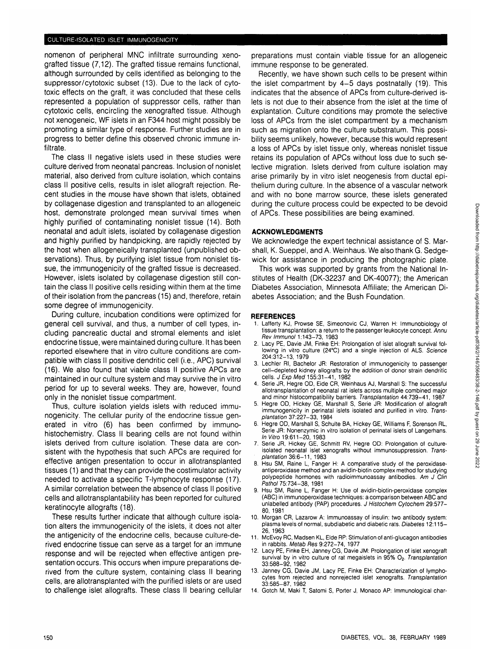#### CULTURE-ISOLATED ISLET IMMUNOGENICITY

nomenon of peripheral MNC infiltrate surrounding xenografted tissue (7,12). The grafted tissue remains functional, although surrounded by cells identified as belonging to the suppressor/cytotoxic subset (13). Due to the lack of cytotoxic effects on the graft, it was concluded that these cells represented a population of suppressor cells, rather than cytotoxic cells, encircling the xenografted tissue. Although not xenogeneic, WF islets in an F344 host might possibly be promoting a similar type of response. Further studies are in progress to better define this observed chronic immune infiltrate.

The class II negative islets used in these studies were culture derived from neonatal pancreas. Inclusion of nonislet material, also derived from culture isolation, which contains class II positive cells, results in islet allograft rejection. Recent studies in the mouse have shown that islets, obtained by collagenase digestion and transplanted to an allogeneic host, demonstrate prolonged mean survival times when highly purified of contaminating nonislet tissue (14). Both neonatal and adult islets, isolated by collagenase digestion and highly purified by handpicking, are rapidly rejected by the host when allogeneically transplanted (unpublished observations). Thus, by purifying islet tissue from nonislet tissue, the immunogenicity of the grafted tissue is decreased. However, islets isolated by collagenase digestion still contain the class II positive cells residing within them at the time of their isolation from the pancreas (15) and, therefore, retain some degree of immunogenicity.

During culture, incubation conditions were optimized for general cell survival, and thus, a number of cell types, including pancreatic ductal and stromal elements and islet endocrine tissue, were maintained during culture. It has been reported elsewhere that in vitro culture conditions are compatible with class II positive dendritic cell (i.e., APC) survival (16). We also found that viable class II positive APCs are maintained in our culture system and may survive the in vitro period for up to several weeks. They are, however, found only in the nonislet tissue compartment.

Thus, culture isolation yields islets with reduced immunogenicity. The cellular purity of the endocrine tissue generated in vitro (6) has been confirmed by immunohistochemistry. Class II bearing cells are not found within islets derived from culture isolation. These data are consistent with the hypothesis that such APCs are required for effective antigen presentation to occur in allotransplanted tissues (1) and that they can provide the costimulator activity needed to activate a specific T-lymphocyte response (17). A similar correlation between the absence of class II positive cells and allotransplantability has been reported for cultured keratinocyte allografts (18).

These results further indicate that although culture isolation alters the immunogenicity of the islets, it does not alter the antigenicity of the endocrine cells, because culture-derived endocrine tissue can serve as a target for an immune response and will be rejected when effective antigen presentation occurs. This occurs when impure preparations derived from the culture system, containing class II bearing cells, are allotransplanted with the purified islets or are used to challenge islet allografts. These class II bearing cellular preparations must contain viable tissue for an allogeneic immune response to be generated.

Recently, we have shown such cells to be present within the islet compartment by 4-5 days postnatally (19). This indicates that the absence of APCs from culture-derived islets is not due to their absence from the islet at the time of explantation. Culture conditions may promote the selective loss of APCs from the islet compartment by a mechanism such as migration onto the culture substratum. This possibility seems unlikely, however, because this would represent a loss of APCs by islet tissue only, whereas nonislet tissue retains its population of APCs without loss due to such selective migration. Islets derived from culture isolation may arise primarily by in vitro islet neogenesis from ductal epithelium during culture. In the absence of a vascular network and with no bone marrow source, these islets generated during the culture process could be expected to be devoid of APCs. These possibilities are being examined.

### **ACKNOWLEDGMENTS**

We acknowledge the expert technical assistance of S. Marshall, K. Sueppel, and A. Weinhaus. We also thank G. Sedgewick for assistance in producing the photographic plate.

This work was supported by grants from the National Institutes of Health (DK-32237 and DK-40077); the American Diabetes Association, Minnesota Affiliate; the American Diabetes Association; and the Bush Foundation.

#### **REFERENCES**

- Lafferty KJ, Prowse SE, Simeonovic CJ, Warren H: Immunobiology of tissue transplantation: a return to the passenger leukocyte concept. Annu Rev Immunol 1:143-73, 1983
- 2. Lacy PE, Davie JM, Finke EH: Prolongation of islet allograft survival following in vitro culture (24°C) and a single injection of ALS. Science 204:312-13, 1979
- 3. Lechler Rl, Bachelor JR: Restoration of immunogenicity to passenger cell-depleted kidney allografts by the addition of donor strain dendritic cells. J Exp Med 155:31-41, 1982
- Serie JR, Hegre OD, Eide CR, Weinhaus AJ, Marshall S: The successful allotransplantation of neonatal rat islets across multiple combined major and minor histocompatibility barriers. Transplantation 44:739-41, 1987
- 5. Hegre OD, Hickey GE, Marshall S, Serie JR: Modification of allograft immunogenicity in perinatal islets isolated and purified in vitro. Transplantation 37:227-33, 1984
- 6. Hegre OD, Marshall S, Schulte BA, Hickey GE, Williams F, Sorenson RL, Serie JR: Nonenzymic in vitro isolation of perinatal islets of Langerhans. In Vitro 19:611-20, 1983
- Serie JR, Hickey GE, Schmitt RV, Hegre OD: Prolongation of cultureisolated neonatal islet xenografts without immunosuppression. Transplantation 36:6-11, 1983
- 8. Hsu SM, Raine L, Fanger H: A comparative study of the peroxidaseantiperoxidase method and an avidin-biotin complex method for studying polypeptide hormones with radioimmunoassay antibodies. Am J Clin Pathol 75:734-38, 1981
- 9. Hsu SM, Raine L, Fanger H: Use of avidin-biotin-peroxidase complex (ABC) in immunoperoxidase techniques: a comparison between ABC and unlabelled antibody (PAP) procedures. J Histochem Cytochem 29:577- 80, 1981
- 10. Morgan CR, Lazarow A: Immunoassay of insulin: two antibody system: plasma levels of normal, subdiabetic and diabetic rats. Diabetes 12:115- 26, 1963
- 11. McEvoy RC, Madsen KL, Elde RP: Stimulation of anti-glucagon antibodies in rabbits. Metab Res 9:272-74, 1977
- 12. Lacy PE, Finke EH, Janney CG, Davie JM: Prolongation of islet xenograft survival by in vitro culture of rat megaislets in 95% O<sub>2</sub>. Transplantation 33:588-92, 1982
- 13. Janney CG, Davie JM, Lacy PE, Finke EH: Characterization of lymphocytes from rejected and nonrejected islet xenografts. Transplantation 33:585-87, 1982
- 14. Gotch M, Maki T, Satomi S, Porter J, Monaco AP: Immunological char-